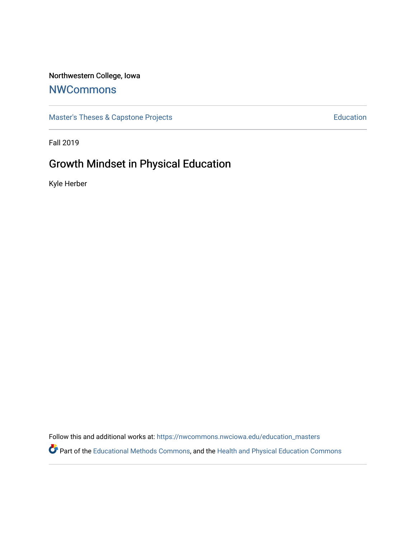## Northwestern College, Iowa

## **[NWCommons](https://nwcommons.nwciowa.edu/)**

[Master's Theses & Capstone Projects](https://nwcommons.nwciowa.edu/education_masters) **Education** Education

Fall 2019

# Growth Mindset in Physical Education

Kyle Herber

Follow this and additional works at: [https://nwcommons.nwciowa.edu/education\\_masters](https://nwcommons.nwciowa.edu/education_masters?utm_source=nwcommons.nwciowa.edu%2Feducation_masters%2F184&utm_medium=PDF&utm_campaign=PDFCoverPages)

Part of the [Educational Methods Commons,](http://network.bepress.com/hgg/discipline/1227?utm_source=nwcommons.nwciowa.edu%2Feducation_masters%2F184&utm_medium=PDF&utm_campaign=PDFCoverPages) and the [Health and Physical Education Commons](http://network.bepress.com/hgg/discipline/1327?utm_source=nwcommons.nwciowa.edu%2Feducation_masters%2F184&utm_medium=PDF&utm_campaign=PDFCoverPages)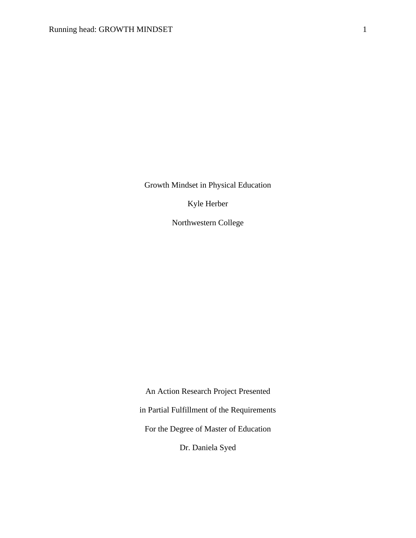Growth Mindset in Physical Education

Kyle Herber

Northwestern College

An Action Research Project Presented in Partial Fulfillment of the Requirements For the Degree of Master of Education Dr. Daniela Syed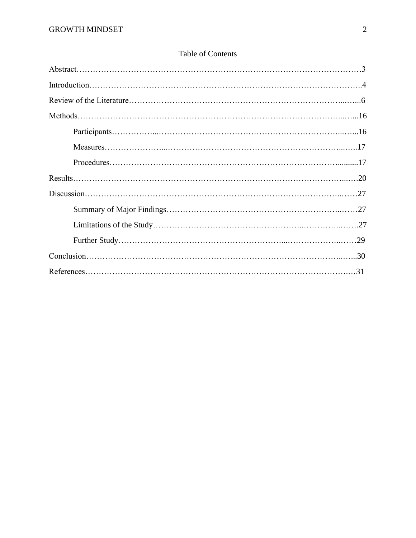## Table of Contents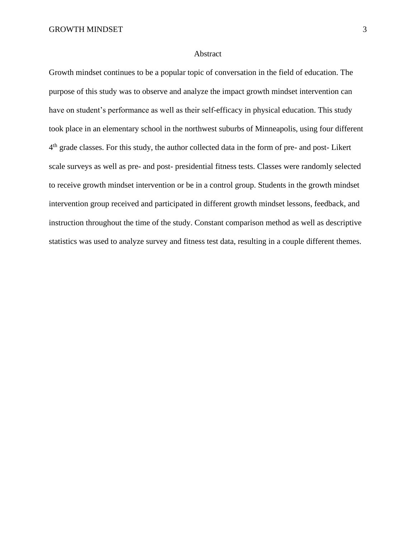#### Abstract

Growth mindset continues to be a popular topic of conversation in the field of education. The purpose of this study was to observe and analyze the impact growth mindset intervention can have on student's performance as well as their self-efficacy in physical education. This study took place in an elementary school in the northwest suburbs of Minneapolis, using four different 4<sup>th</sup> grade classes. For this study, the author collected data in the form of pre- and post-Likert scale surveys as well as pre- and post- presidential fitness tests. Classes were randomly selected to receive growth mindset intervention or be in a control group. Students in the growth mindset intervention group received and participated in different growth mindset lessons, feedback, and instruction throughout the time of the study. Constant comparison method as well as descriptive statistics was used to analyze survey and fitness test data, resulting in a couple different themes.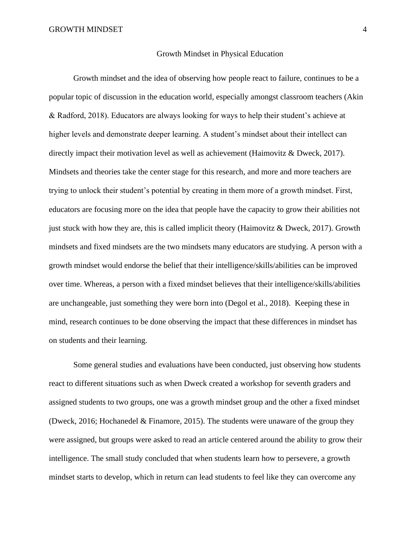#### Growth Mindset in Physical Education

Growth mindset and the idea of observing how people react to failure, continues to be a popular topic of discussion in the education world, especially amongst classroom teachers (Akin & Radford, 2018). Educators are always looking for ways to help their student's achieve at higher levels and demonstrate deeper learning. A student's mindset about their intellect can directly impact their motivation level as well as achievement (Haimovitz & Dweck, 2017). Mindsets and theories take the center stage for this research, and more and more teachers are trying to unlock their student's potential by creating in them more of a growth mindset. First, educators are focusing more on the idea that people have the capacity to grow their abilities not just stuck with how they are, this is called implicit theory (Haimovitz  $&$  Dweck, 2017). Growth mindsets and fixed mindsets are the two mindsets many educators are studying. A person with a growth mindset would endorse the belief that their intelligence/skills/abilities can be improved over time. Whereas, a person with a fixed mindset believes that their intelligence/skills/abilities are unchangeable, just something they were born into (Degol et al., 2018). Keeping these in mind, research continues to be done observing the impact that these differences in mindset has on students and their learning.

Some general studies and evaluations have been conducted, just observing how students react to different situations such as when Dweck created a workshop for seventh graders and assigned students to two groups, one was a growth mindset group and the other a fixed mindset (Dweck, 2016; Hochanedel & Finamore, 2015). The students were unaware of the group they were assigned, but groups were asked to read an article centered around the ability to grow their intelligence. The small study concluded that when students learn how to persevere, a growth mindset starts to develop, which in return can lead students to feel like they can overcome any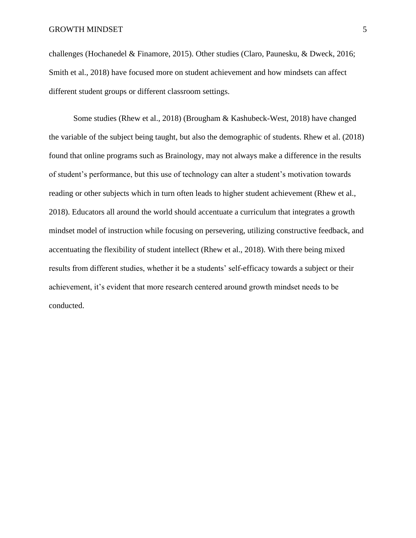challenges (Hochanedel & Finamore, 2015). Other studies (Claro, Paunesku, & Dweck, 2016; Smith et al., 2018) have focused more on student achievement and how mindsets can affect different student groups or different classroom settings.

Some studies (Rhew et al., 2018) (Brougham & Kashubeck-West, 2018) have changed the variable of the subject being taught, but also the demographic of students. Rhew et al. (2018) found that online programs such as Brainology, may not always make a difference in the results of student's performance, but this use of technology can alter a student's motivation towards reading or other subjects which in turn often leads to higher student achievement (Rhew et al., 2018). Educators all around the world should accentuate a curriculum that integrates a growth mindset model of instruction while focusing on persevering, utilizing constructive feedback, and accentuating the flexibility of student intellect (Rhew et al., 2018). With there being mixed results from different studies, whether it be a students' self-efficacy towards a subject or their achievement, it's evident that more research centered around growth mindset needs to be conducted.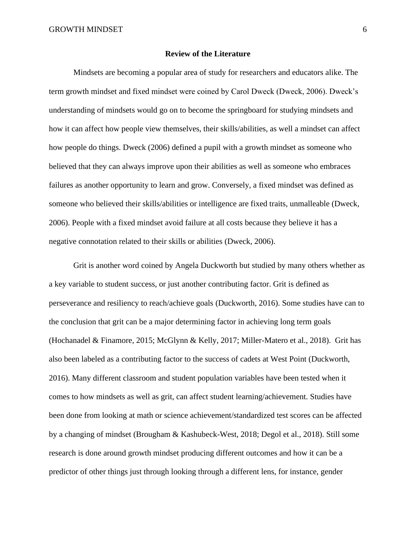#### **Review of the Literature**

Mindsets are becoming a popular area of study for researchers and educators alike. The term growth mindset and fixed mindset were coined by Carol Dweck (Dweck, 2006). Dweck's understanding of mindsets would go on to become the springboard for studying mindsets and how it can affect how people view themselves, their skills/abilities, as well a mindset can affect how people do things. Dweck (2006) defined a pupil with a growth mindset as someone who believed that they can always improve upon their abilities as well as someone who embraces failures as another opportunity to learn and grow. Conversely, a fixed mindset was defined as someone who believed their skills/abilities or intelligence are fixed traits, unmalleable (Dweck, 2006). People with a fixed mindset avoid failure at all costs because they believe it has a negative connotation related to their skills or abilities (Dweck, 2006).

Grit is another word coined by Angela Duckworth but studied by many others whether as a key variable to student success, or just another contributing factor. Grit is defined as perseverance and resiliency to reach/achieve goals (Duckworth, 2016). Some studies have can to the conclusion that grit can be a major determining factor in achieving long term goals (Hochanadel & Finamore, 2015; McGlynn & Kelly, 2017; Miller-Matero et al., 2018). Grit has also been labeled as a contributing factor to the success of cadets at West Point (Duckworth, 2016). Many different classroom and student population variables have been tested when it comes to how mindsets as well as grit, can affect student learning/achievement. Studies have been done from looking at math or science achievement/standardized test scores can be affected by a changing of mindset (Brougham & Kashubeck-West, 2018; Degol et al., 2018). Still some research is done around growth mindset producing different outcomes and how it can be a predictor of other things just through looking through a different lens, for instance, gender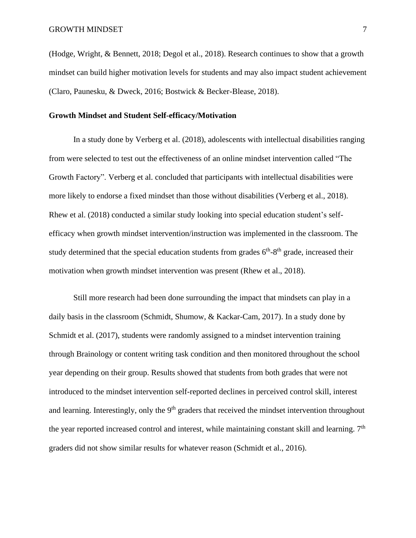(Hodge, Wright, & Bennett, 2018; Degol et al., 2018). Research continues to show that a growth mindset can build higher motivation levels for students and may also impact student achievement (Claro, Paunesku, & Dweck, 2016; Bostwick & Becker-Blease, 2018).

#### **Growth Mindset and Student Self-efficacy/Motivation**

In a study done by Verberg et al. (2018), adolescents with intellectual disabilities ranging from were selected to test out the effectiveness of an online mindset intervention called "The Growth Factory". Verberg et al. concluded that participants with intellectual disabilities were more likely to endorse a fixed mindset than those without disabilities (Verberg et al., 2018). Rhew et al. (2018) conducted a similar study looking into special education student's selfefficacy when growth mindset intervention/instruction was implemented in the classroom. The study determined that the special education students from grades  $6<sup>th</sup>$ - $8<sup>th</sup>$  grade, increased their motivation when growth mindset intervention was present (Rhew et al., 2018).

Still more research had been done surrounding the impact that mindsets can play in a daily basis in the classroom (Schmidt, Shumow, & Kackar-Cam, 2017). In a study done by Schmidt et al. (2017), students were randomly assigned to a mindset intervention training through Brainology or content writing task condition and then monitored throughout the school year depending on their group. Results showed that students from both grades that were not introduced to the mindset intervention self-reported declines in perceived control skill, interest and learning. Interestingly, only the  $9<sup>th</sup>$  graders that received the mindset intervention throughout the year reported increased control and interest, while maintaining constant skill and learning. 7<sup>th</sup> graders did not show similar results for whatever reason (Schmidt et al., 2016).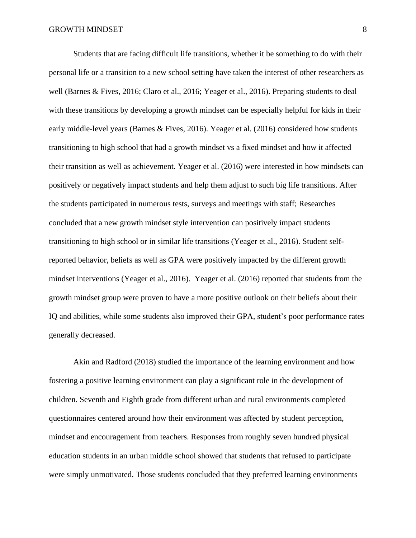Students that are facing difficult life transitions, whether it be something to do with their personal life or a transition to a new school setting have taken the interest of other researchers as well (Barnes & Fives, 2016; Claro et al., 2016; Yeager et al., 2016). Preparing students to deal with these transitions by developing a growth mindset can be especially helpful for kids in their early middle-level years (Barnes & Fives, 2016). Yeager et al. (2016) considered how students transitioning to high school that had a growth mindset vs a fixed mindset and how it affected their transition as well as achievement. Yeager et al. (2016) were interested in how mindsets can positively or negatively impact students and help them adjust to such big life transitions. After the students participated in numerous tests, surveys and meetings with staff; Researches concluded that a new growth mindset style intervention can positively impact students transitioning to high school or in similar life transitions (Yeager et al., 2016). Student selfreported behavior, beliefs as well as GPA were positively impacted by the different growth mindset interventions (Yeager et al., 2016). Yeager et al. (2016) reported that students from the growth mindset group were proven to have a more positive outlook on their beliefs about their IQ and abilities, while some students also improved their GPA, student's poor performance rates generally decreased.

Akin and Radford (2018) studied the importance of the learning environment and how fostering a positive learning environment can play a significant role in the development of children. Seventh and Eighth grade from different urban and rural environments completed questionnaires centered around how their environment was affected by student perception, mindset and encouragement from teachers. Responses from roughly seven hundred physical education students in an urban middle school showed that students that refused to participate were simply unmotivated. Those students concluded that they preferred learning environments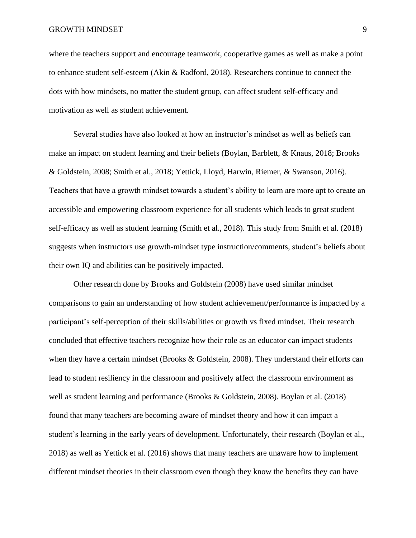where the teachers support and encourage teamwork, cooperative games as well as make a point to enhance student self-esteem (Akin & Radford, 2018). Researchers continue to connect the dots with how mindsets, no matter the student group, can affect student self-efficacy and motivation as well as student achievement.

Several studies have also looked at how an instructor's mindset as well as beliefs can make an impact on student learning and their beliefs (Boylan, Barblett, & Knaus, 2018; Brooks & Goldstein, 2008; Smith et al., 2018; Yettick, Lloyd, Harwin, Riemer, & Swanson, 2016). Teachers that have a growth mindset towards a student's ability to learn are more apt to create an accessible and empowering classroom experience for all students which leads to great student self-efficacy as well as student learning (Smith et al., 2018). This study from Smith et al. (2018) suggests when instructors use growth-mindset type instruction/comments, student's beliefs about their own IQ and abilities can be positively impacted.

Other research done by Brooks and Goldstein (2008) have used similar mindset comparisons to gain an understanding of how student achievement/performance is impacted by a participant's self-perception of their skills/abilities or growth vs fixed mindset. Their research concluded that effective teachers recognize how their role as an educator can impact students when they have a certain mindset (Brooks & Goldstein, 2008). They understand their efforts can lead to student resiliency in the classroom and positively affect the classroom environment as well as student learning and performance (Brooks & Goldstein, 2008). Boylan et al. (2018) found that many teachers are becoming aware of mindset theory and how it can impact a student's learning in the early years of development. Unfortunately, their research (Boylan et al., 2018) as well as Yettick et al. (2016) shows that many teachers are unaware how to implement different mindset theories in their classroom even though they know the benefits they can have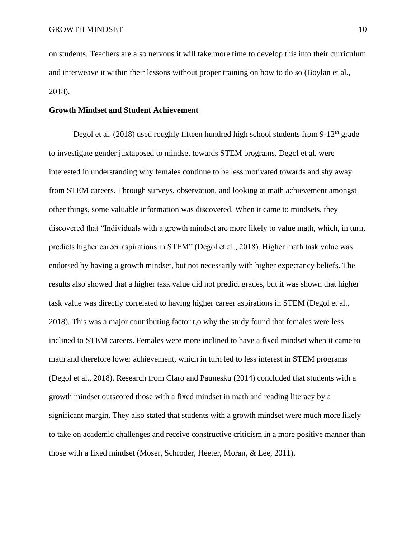on students. Teachers are also nervous it will take more time to develop this into their curriculum and interweave it within their lessons without proper training on how to do so (Boylan et al., 2018).

### **Growth Mindset and Student Achievement**

Degol et al. (2018) used roughly fifteen hundred high school students from  $9-12<sup>th</sup>$  grade to investigate gender juxtaposed to mindset towards STEM programs. Degol et al. were interested in understanding why females continue to be less motivated towards and shy away from STEM careers. Through surveys, observation, and looking at math achievement amongst other things, some valuable information was discovered. When it came to mindsets, they discovered that "Individuals with a growth mindset are more likely to value math, which, in turn, predicts higher career aspirations in STEM" (Degol et al., 2018). Higher math task value was endorsed by having a growth mindset, but not necessarily with higher expectancy beliefs. The results also showed that a higher task value did not predict grades, but it was shown that higher task value was directly correlated to having higher career aspirations in STEM (Degol et al., 2018). This was a major contributing factor t,o why the study found that females were less inclined to STEM careers. Females were more inclined to have a fixed mindset when it came to math and therefore lower achievement, which in turn led to less interest in STEM programs (Degol et al., 2018). Research from Claro and Paunesku (2014) concluded that students with a growth mindset outscored those with a fixed mindset in math and reading literacy by a significant margin. They also stated that students with a growth mindset were much more likely to take on academic challenges and receive constructive criticism in a more positive manner than those with a fixed mindset (Moser, Schroder, Heeter, Moran, & Lee, 2011).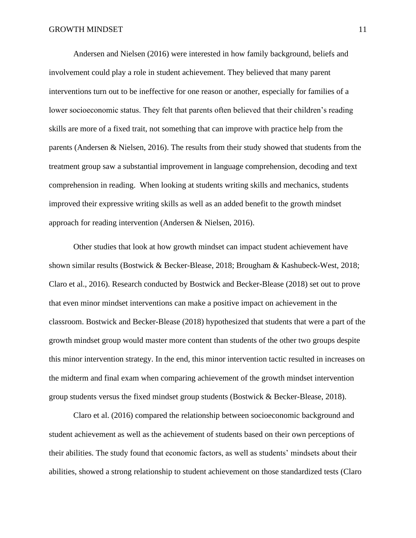Andersen and Nielsen (2016) were interested in how family background, beliefs and involvement could play a role in student achievement. They believed that many parent interventions turn out to be ineffective for one reason or another, especially for families of a lower socioeconomic status. They felt that parents often believed that their children's reading skills are more of a fixed trait, not something that can improve with practice help from the parents (Andersen & Nielsen, 2016). The results from their study showed that students from the treatment group saw a substantial improvement in language comprehension, decoding and text comprehension in reading. When looking at students writing skills and mechanics, students improved their expressive writing skills as well as an added benefit to the growth mindset approach for reading intervention (Andersen & Nielsen, 2016).

Other studies that look at how growth mindset can impact student achievement have shown similar results (Bostwick & Becker-Blease, 2018; Brougham & Kashubeck-West, 2018; Claro et al., 2016). Research conducted by Bostwick and Becker-Blease (2018) set out to prove that even minor mindset interventions can make a positive impact on achievement in the classroom. Bostwick and Becker-Blease (2018) hypothesized that students that were a part of the growth mindset group would master more content than students of the other two groups despite this minor intervention strategy. In the end, this minor intervention tactic resulted in increases on the midterm and final exam when comparing achievement of the growth mindset intervention group students versus the fixed mindset group students (Bostwick & Becker-Blease, 2018).

Claro et al. (2016) compared the relationship between socioeconomic background and student achievement as well as the achievement of students based on their own perceptions of their abilities. The study found that economic factors, as well as students' mindsets about their abilities, showed a strong relationship to student achievement on those standardized tests (Claro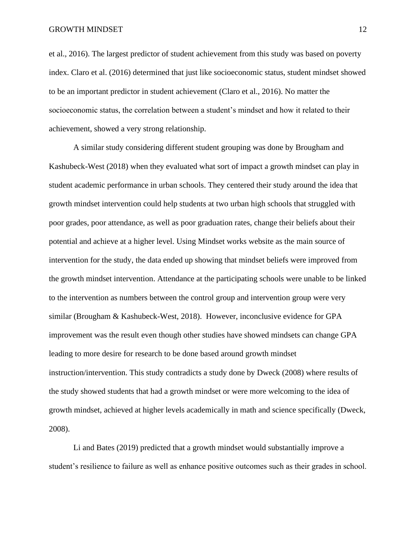et al., 2016). The largest predictor of student achievement from this study was based on poverty index. Claro et al. (2016) determined that just like socioeconomic status, student mindset showed to be an important predictor in student achievement (Claro et al., 2016). No matter the socioeconomic status, the correlation between a student's mindset and how it related to their achievement, showed a very strong relationship.

A similar study considering different student grouping was done by Brougham and Kashubeck-West (2018) when they evaluated what sort of impact a growth mindset can play in student academic performance in urban schools. They centered their study around the idea that growth mindset intervention could help students at two urban high schools that struggled with poor grades, poor attendance, as well as poor graduation rates, change their beliefs about their potential and achieve at a higher level. Using Mindset works website as the main source of intervention for the study, the data ended up showing that mindset beliefs were improved from the growth mindset intervention. Attendance at the participating schools were unable to be linked to the intervention as numbers between the control group and intervention group were very similar (Brougham & Kashubeck-West, 2018). However, inconclusive evidence for GPA improvement was the result even though other studies have showed mindsets can change GPA leading to more desire for research to be done based around growth mindset instruction/intervention. This study contradicts a study done by Dweck (2008) where results of the study showed students that had a growth mindset or were more welcoming to the idea of growth mindset, achieved at higher levels academically in math and science specifically (Dweck, 2008).

Li and Bates (2019) predicted that a growth mindset would substantially improve a student's resilience to failure as well as enhance positive outcomes such as their grades in school.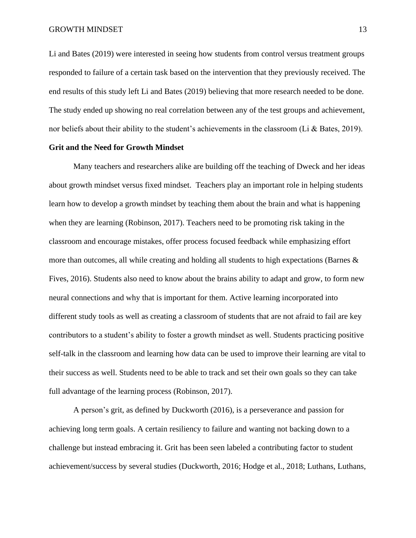Li and Bates (2019) were interested in seeing how students from control versus treatment groups responded to failure of a certain task based on the intervention that they previously received. The end results of this study left Li and Bates (2019) believing that more research needed to be done. The study ended up showing no real correlation between any of the test groups and achievement, nor beliefs about their ability to the student's achievements in the classroom (Li & Bates, 2019).

#### **Grit and the Need for Growth Mindset**

Many teachers and researchers alike are building off the teaching of Dweck and her ideas about growth mindset versus fixed mindset. Teachers play an important role in helping students learn how to develop a growth mindset by teaching them about the brain and what is happening when they are learning (Robinson, 2017). Teachers need to be promoting risk taking in the classroom and encourage mistakes, offer process focused feedback while emphasizing effort more than outcomes, all while creating and holding all students to high expectations (Barnes  $\&$ Fives, 2016). Students also need to know about the brains ability to adapt and grow, to form new neural connections and why that is important for them. Active learning incorporated into different study tools as well as creating a classroom of students that are not afraid to fail are key contributors to a student's ability to foster a growth mindset as well. Students practicing positive self-talk in the classroom and learning how data can be used to improve their learning are vital to their success as well. Students need to be able to track and set their own goals so they can take full advantage of the learning process (Robinson, 2017).

A person's grit, as defined by Duckworth (2016), is a perseverance and passion for achieving long term goals. A certain resiliency to failure and wanting not backing down to a challenge but instead embracing it. Grit has been seen labeled a contributing factor to student achievement/success by several studies (Duckworth, 2016; Hodge et al., 2018; Luthans, Luthans,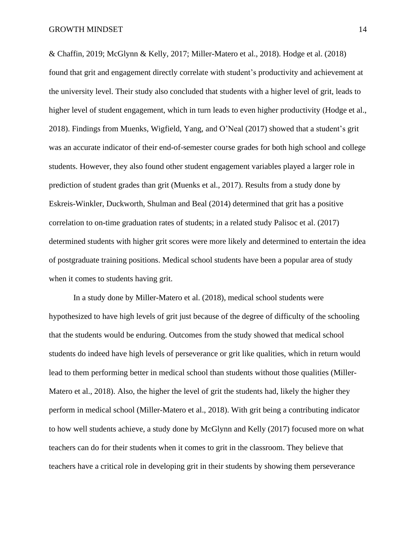& Chaffin, 2019; McGlynn & Kelly, 2017; Miller-Matero et al., 2018). Hodge et al. (2018) found that grit and engagement directly correlate with student's productivity and achievement at the university level. Their study also concluded that students with a higher level of grit, leads to higher level of student engagement, which in turn leads to even higher productivity (Hodge et al., 2018). Findings from Muenks, Wigfield, Yang, and O'Neal (2017) showed that a student's grit was an accurate indicator of their end-of-semester course grades for both high school and college students. However, they also found other student engagement variables played a larger role in prediction of student grades than grit (Muenks et al., 2017). Results from a study done by Eskreis-Winkler, Duckworth, Shulman and Beal (2014) determined that grit has a positive correlation to on-time graduation rates of students; in a related study Palisoc et al. (2017) determined students with higher grit scores were more likely and determined to entertain the idea of postgraduate training positions. Medical school students have been a popular area of study when it comes to students having grit.

In a study done by Miller-Matero et al. (2018), medical school students were hypothesized to have high levels of grit just because of the degree of difficulty of the schooling that the students would be enduring. Outcomes from the study showed that medical school students do indeed have high levels of perseverance or grit like qualities, which in return would lead to them performing better in medical school than students without those qualities (Miller-Matero et al., 2018). Also, the higher the level of grit the students had, likely the higher they perform in medical school (Miller-Matero et al., 2018). With grit being a contributing indicator to how well students achieve, a study done by McGlynn and Kelly (2017) focused more on what teachers can do for their students when it comes to grit in the classroom. They believe that teachers have a critical role in developing grit in their students by showing them perseverance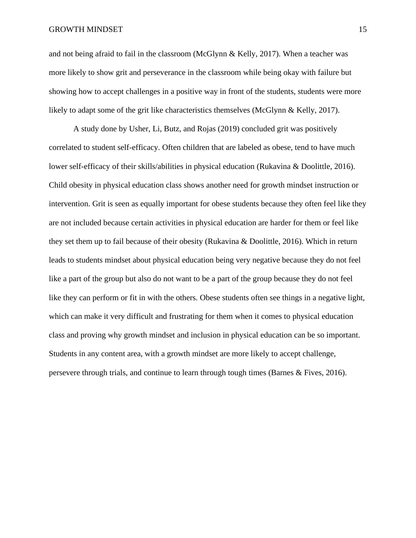and not being afraid to fail in the classroom (McGlynn & Kelly, 2017). When a teacher was more likely to show grit and perseverance in the classroom while being okay with failure but showing how to accept challenges in a positive way in front of the students, students were more likely to adapt some of the grit like characteristics themselves (McGlynn & Kelly, 2017).

A study done by Usher, Li, Butz, and Rojas (2019) concluded grit was positively correlated to student self-efficacy. Often children that are labeled as obese, tend to have much lower self-efficacy of their skills/abilities in physical education (Rukavina & Doolittle, 2016). Child obesity in physical education class shows another need for growth mindset instruction or intervention. Grit is seen as equally important for obese students because they often feel like they are not included because certain activities in physical education are harder for them or feel like they set them up to fail because of their obesity (Rukavina & Doolittle, 2016). Which in return leads to students mindset about physical education being very negative because they do not feel like a part of the group but also do not want to be a part of the group because they do not feel like they can perform or fit in with the others. Obese students often see things in a negative light, which can make it very difficult and frustrating for them when it comes to physical education class and proving why growth mindset and inclusion in physical education can be so important. Students in any content area, with a growth mindset are more likely to accept challenge, persevere through trials, and continue to learn through tough times (Barnes & Fives, 2016).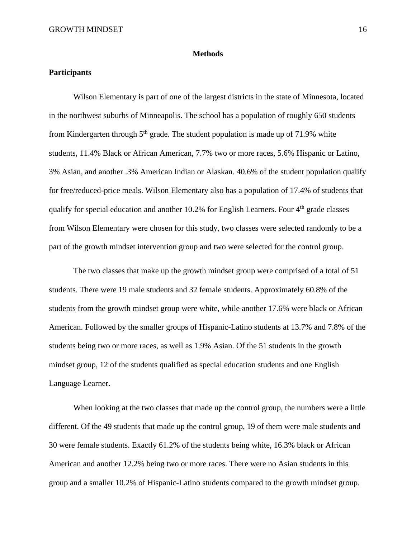#### **Methods**

#### **Participants**

Wilson Elementary is part of one of the largest districts in the state of Minnesota, located in the northwest suburbs of Minneapolis. The school has a population of roughly 650 students from Kindergarten through  $5<sup>th</sup>$  grade. The student population is made up of 71.9% white students, 11.4% Black or African American, 7.7% two or more races, 5.6% Hispanic or Latino, 3% Asian, and another .3% American Indian or Alaskan. 40.6% of the student population qualify for free/reduced-price meals. Wilson Elementary also has a population of 17.4% of students that qualify for special education and another 10.2% for English Learners. Four 4<sup>th</sup> grade classes from Wilson Elementary were chosen for this study, two classes were selected randomly to be a part of the growth mindset intervention group and two were selected for the control group.

The two classes that make up the growth mindset group were comprised of a total of 51 students. There were 19 male students and 32 female students. Approximately 60.8% of the students from the growth mindset group were white, while another 17.6% were black or African American. Followed by the smaller groups of Hispanic-Latino students at 13.7% and 7.8% of the students being two or more races, as well as 1.9% Asian. Of the 51 students in the growth mindset group, 12 of the students qualified as special education students and one English Language Learner.

When looking at the two classes that made up the control group, the numbers were a little different. Of the 49 students that made up the control group, 19 of them were male students and 30 were female students. Exactly 61.2% of the students being white, 16.3% black or African American and another 12.2% being two or more races. There were no Asian students in this group and a smaller 10.2% of Hispanic-Latino students compared to the growth mindset group.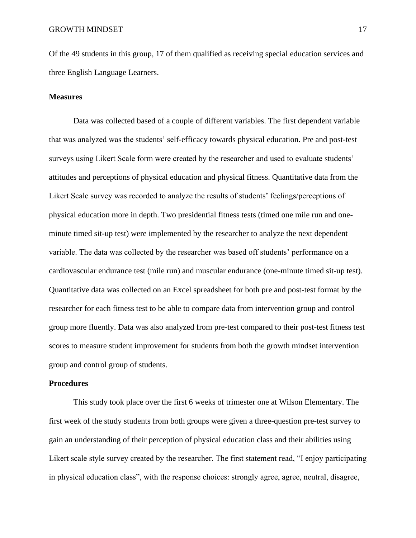Of the 49 students in this group, 17 of them qualified as receiving special education services and three English Language Learners.

#### **Measures**

Data was collected based of a couple of different variables. The first dependent variable that was analyzed was the students' self-efficacy towards physical education. Pre and post-test surveys using Likert Scale form were created by the researcher and used to evaluate students' attitudes and perceptions of physical education and physical fitness. Quantitative data from the Likert Scale survey was recorded to analyze the results of students' feelings/perceptions of physical education more in depth. Two presidential fitness tests (timed one mile run and oneminute timed sit-up test) were implemented by the researcher to analyze the next dependent variable. The data was collected by the researcher was based off students' performance on a cardiovascular endurance test (mile run) and muscular endurance (one-minute timed sit-up test). Quantitative data was collected on an Excel spreadsheet for both pre and post-test format by the researcher for each fitness test to be able to compare data from intervention group and control group more fluently. Data was also analyzed from pre-test compared to their post-test fitness test scores to measure student improvement for students from both the growth mindset intervention group and control group of students.

#### **Procedures**

This study took place over the first 6 weeks of trimester one at Wilson Elementary. The first week of the study students from both groups were given a three-question pre-test survey to gain an understanding of their perception of physical education class and their abilities using Likert scale style survey created by the researcher. The first statement read, "I enjoy participating in physical education class", with the response choices: strongly agree, agree, neutral, disagree,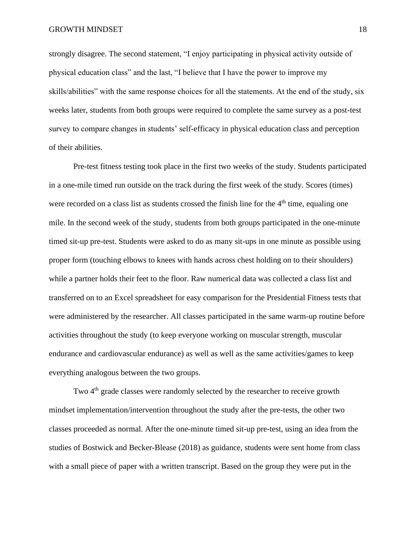strongly disagree. The second statement, "I enjoy participating in physical activity outside of physical education class" and the last, "I believe that I have the power to improve my skills/abilities" with the same response choices for all the statements. At the end of the study, six weeks later, students from both groups were required to complete the same survey as a post-test survey to compare changes in students' self-efficacy in physical education class and perception of their abilities.

Pre-test fitness testing took place in the first two weeks of the study. Students participated in a one-mile timed run outside on the track during the first week of the study. Scores (times) were recorded on a class list as students crossed the finish line for the  $4<sup>th</sup>$  time, equaling one mile. In the second week of the study, students from both groups participated in the one-minute timed sit-up pre-test. Students were asked to do as many sit-ups in one minute as possible using proper form (touching elbows to knees with hands across chest holding on to their shoulders) while a partner holds their feet to the floor. Raw numerical data was collected a class list and transferred on to an Excel spreadsheet for easy comparison for the Presidential Fitness tests that were administered by the researcher. All classes participated in the same warm-up routine before activities throughout the study (to keep everyone working on muscular strength, muscular endurance and cardiovascular endurance) as well as well as the same activities/games to keep everything analogous between the two groups.

Two 4<sup>th</sup> grade classes were randomly selected by the researcher to receive growth mindset implementation/intervention throughout the study after the pre-tests, the other two classes proceeded as normal. After the one-minute timed sit-up pre-test, using an idea from the studies of Bostwick and Becker-Blease (2018) as guidance, students were sent home from class with a small piece of paper with a written transcript. Based on the group they were put in the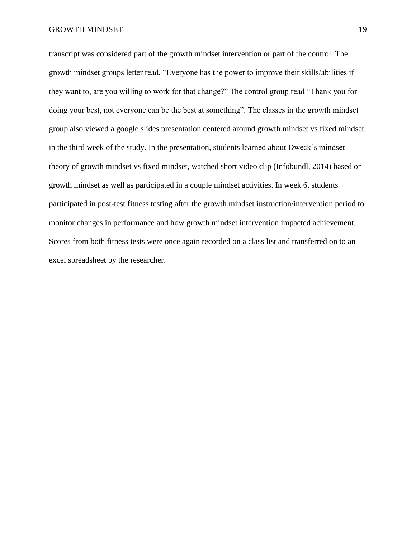transcript was considered part of the growth mindset intervention or part of the control. The growth mindset groups letter read, "Everyone has the power to improve their skills/abilities if they want to, are you willing to work for that change?" The control group read "Thank you for doing your best, not everyone can be the best at something". The classes in the growth mindset group also viewed a google slides presentation centered around growth mindset vs fixed mindset in the third week of the study. In the presentation, students learned about Dweck's mindset theory of growth mindset vs fixed mindset, watched short video clip (Infobundl, 2014) based on growth mindset as well as participated in a couple mindset activities. In week 6, students participated in post-test fitness testing after the growth mindset instruction/intervention period to monitor changes in performance and how growth mindset intervention impacted achievement. Scores from both fitness tests were once again recorded on a class list and transferred on to an excel spreadsheet by the researcher.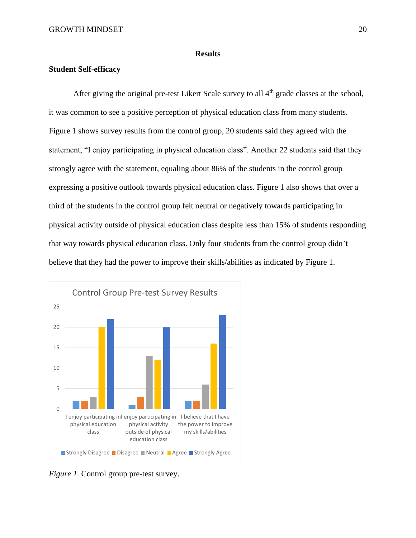#### **Results**

#### **Student Self-efficacy**

After giving the original pre-test Likert Scale survey to all  $4<sup>th</sup>$  grade classes at the school, it was common to see a positive perception of physical education class from many students. Figure 1 shows survey results from the control group, 20 students said they agreed with the statement, "I enjoy participating in physical education class". Another 22 students said that they strongly agree with the statement, equaling about 86% of the students in the control group expressing a positive outlook towards physical education class. Figure 1 also shows that over a third of the students in the control group felt neutral or negatively towards participating in physical activity outside of physical education class despite less than 15% of students responding that way towards physical education class. Only four students from the control group didn't believe that they had the power to improve their skills/abilities as indicated by Figure 1.



*Figure 1.* Control group pre-test survey.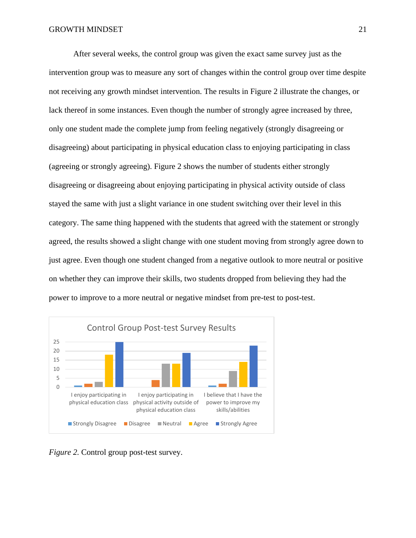After several weeks, the control group was given the exact same survey just as the intervention group was to measure any sort of changes within the control group over time despite not receiving any growth mindset intervention. The results in Figure 2 illustrate the changes, or lack thereof in some instances. Even though the number of strongly agree increased by three, only one student made the complete jump from feeling negatively (strongly disagreeing or disagreeing) about participating in physical education class to enjoying participating in class (agreeing or strongly agreeing). Figure 2 shows the number of students either strongly disagreeing or disagreeing about enjoying participating in physical activity outside of class stayed the same with just a slight variance in one student switching over their level in this category. The same thing happened with the students that agreed with the statement or strongly agreed, the results showed a slight change with one student moving from strongly agree down to just agree. Even though one student changed from a negative outlook to more neutral or positive on whether they can improve their skills, two students dropped from believing they had the power to improve to a more neutral or negative mindset from pre-test to post-test.



*Figure 2.* Control group post-test survey.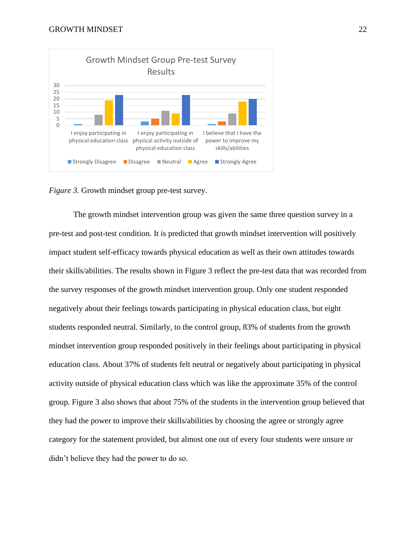

*Figure 3.* Growth mindset group pre-test survey.

The growth mindset intervention group was given the same three question survey in a pre-test and post-test condition. It is predicted that growth mindset intervention will positively impact student self-efficacy towards physical education as well as their own attitudes towards their skills/abilities. The results shown in Figure 3 reflect the pre-test data that was recorded from the survey responses of the growth mindset intervention group. Only one student responded negatively about their feelings towards participating in physical education class, but eight students responded neutral. Similarly, to the control group, 83% of students from the growth mindset intervention group responded positively in their feelings about participating in physical education class. About 37% of students felt neutral or negatively about participating in physical activity outside of physical education class which was like the approximate 35% of the control group. Figure 3 also shows that about 75% of the students in the intervention group believed that they had the power to improve their skills/abilities by choosing the agree or strongly agree category for the statement provided, but almost one out of every four students were unsure or didn't believe they had the power to do so.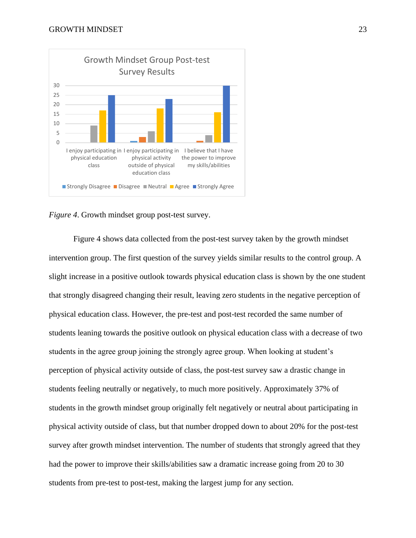

*Figure 4*. Growth mindset group post-test survey.

Figure 4 shows data collected from the post-test survey taken by the growth mindset intervention group. The first question of the survey yields similar results to the control group. A slight increase in a positive outlook towards physical education class is shown by the one student that strongly disagreed changing their result, leaving zero students in the negative perception of physical education class. However, the pre-test and post-test recorded the same number of students leaning towards the positive outlook on physical education class with a decrease of two students in the agree group joining the strongly agree group. When looking at student's perception of physical activity outside of class, the post-test survey saw a drastic change in students feeling neutrally or negatively, to much more positively. Approximately 37% of students in the growth mindset group originally felt negatively or neutral about participating in physical activity outside of class, but that number dropped down to about 20% for the post-test survey after growth mindset intervention. The number of students that strongly agreed that they had the power to improve their skills/abilities saw a dramatic increase going from 20 to 30 students from pre-test to post-test, making the largest jump for any section.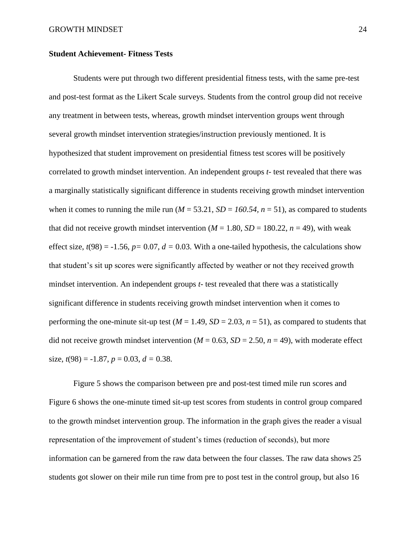#### **Student Achievement- Fitness Tests**

Students were put through two different presidential fitness tests, with the same pre-test and post-test format as the Likert Scale surveys. Students from the control group did not receive any treatment in between tests, whereas, growth mindset intervention groups went through several growth mindset intervention strategies/instruction previously mentioned. It is hypothesized that student improvement on presidential fitness test scores will be positively correlated to growth mindset intervention. An independent groups *t-* test revealed that there was a marginally statistically significant difference in students receiving growth mindset intervention when it comes to running the mile run ( $M = 53.21$ ,  $SD = 160.54$ ,  $n = 51$ ), as compared to students that did not receive growth mindset intervention ( $M = 1.80$ ,  $SD = 180.22$ ,  $n = 49$ ), with weak effect size,  $t(98) = -1.56$ ,  $p = 0.07$ ,  $d = 0.03$ . With a one-tailed hypothesis, the calculations show that student's sit up scores were significantly affected by weather or not they received growth mindset intervention. An independent groups *t-* test revealed that there was a statistically significant difference in students receiving growth mindset intervention when it comes to performing the one-minute sit-up test ( $M = 1.49$ ,  $SD = 2.03$ ,  $n = 51$ ), as compared to students that did not receive growth mindset intervention ( $M = 0.63$ ,  $SD = 2.50$ ,  $n = 49$ ), with moderate effect size,  $t(98) = -1.87$ ,  $p = 0.03$ ,  $d = 0.38$ .

Figure 5 shows the comparison between pre and post-test timed mile run scores and Figure 6 shows the one-minute timed sit-up test scores from students in control group compared to the growth mindset intervention group. The information in the graph gives the reader a visual representation of the improvement of student's times (reduction of seconds), but more information can be garnered from the raw data between the four classes. The raw data shows 25 students got slower on their mile run time from pre to post test in the control group, but also 16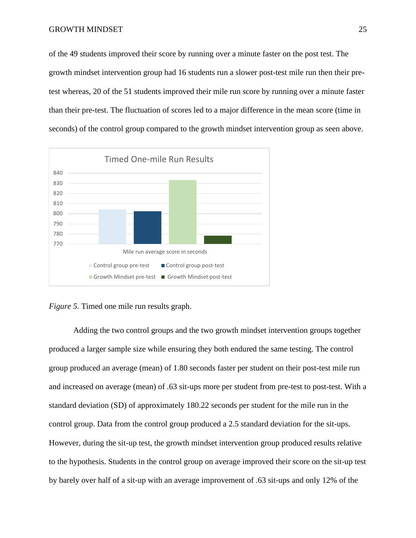of the 49 students improved their score by running over a minute faster on the post test. The growth mindset intervention group had 16 students run a slower post-test mile run then their pretest whereas, 20 of the 51 students improved their mile run score by running over a minute faster than their pre-test. The fluctuation of scores led to a major difference in the mean score (time in seconds) of the control group compared to the growth mindset intervention group as seen above.



*Figure 5.* Timed one mile run results graph.

Adding the two control groups and the two growth mindset intervention groups together produced a larger sample size while ensuring they both endured the same testing. The control group produced an average (mean) of 1.80 seconds faster per student on their post-test mile run and increased on average (mean) of .63 sit-ups more per student from pre-test to post-test. With a standard deviation (SD) of approximately 180.22 seconds per student for the mile run in the control group. Data from the control group produced a 2.5 standard deviation for the sit-ups. However, during the sit-up test, the growth mindset intervention group produced results relative to the hypothesis. Students in the control group on average improved their score on the sit-up test by barely over half of a sit-up with an average improvement of .63 sit-ups and only 12% of the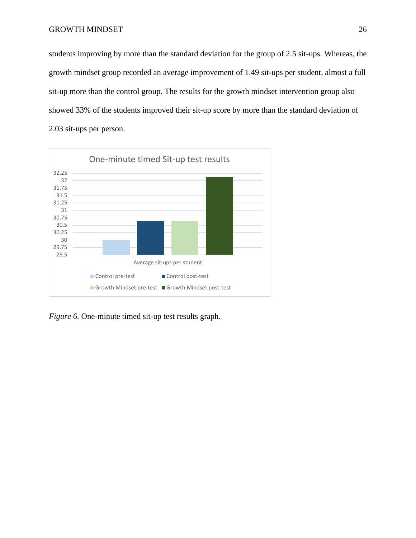students improving by more than the standard deviation for the group of 2.5 sit-ups. Whereas, the growth mindset group recorded an average improvement of 1.49 sit-ups per student, almost a full sit-up more than the control group. The results for the growth mindset intervention group also showed 33% of the students improved their sit-up score by more than the standard deviation of 2.03 sit-ups per person.



*Figure 6.* One-minute timed sit-up test results graph.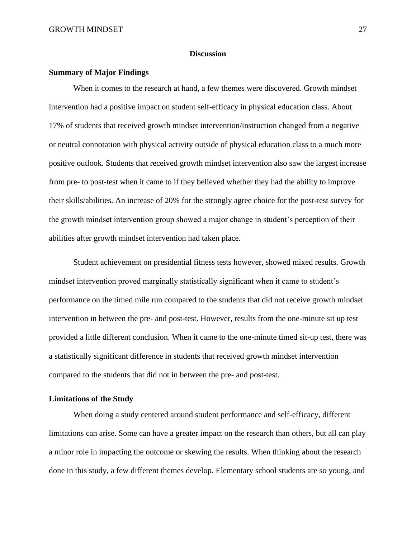#### **Discussion**

#### **Summary of Major Findings**

When it comes to the research at hand, a few themes were discovered. Growth mindset intervention had a positive impact on student self-efficacy in physical education class. About 17% of students that received growth mindset intervention/instruction changed from a negative or neutral connotation with physical activity outside of physical education class to a much more positive outlook. Students that received growth mindset intervention also saw the largest increase from pre- to post-test when it came to if they believed whether they had the ability to improve their skills/abilities. An increase of 20% for the strongly agree choice for the post-test survey for the growth mindset intervention group showed a major change in student's perception of their abilities after growth mindset intervention had taken place.

Student achievement on presidential fitness tests however, showed mixed results. Growth mindset intervention proved marginally statistically significant when it came to student's performance on the timed mile run compared to the students that did not receive growth mindset intervention in between the pre- and post-test. However, results from the one-minute sit up test provided a little different conclusion. When it came to the one-minute timed sit-up test, there was a statistically significant difference in students that received growth mindset intervention compared to the students that did not in between the pre- and post-test.

#### **Limitations of the Study**

When doing a study centered around student performance and self-efficacy, different limitations can arise. Some can have a greater impact on the research than others, but all can play a minor role in impacting the outcome or skewing the results. When thinking about the research done in this study, a few different themes develop. Elementary school students are so young, and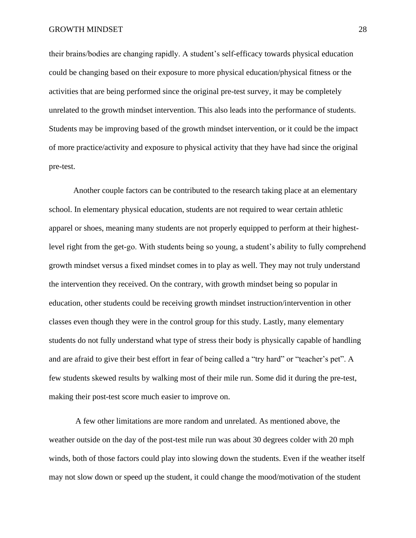their brains/bodies are changing rapidly. A student's self-efficacy towards physical education could be changing based on their exposure to more physical education/physical fitness or the activities that are being performed since the original pre-test survey, it may be completely unrelated to the growth mindset intervention. This also leads into the performance of students. Students may be improving based of the growth mindset intervention, or it could be the impact of more practice/activity and exposure to physical activity that they have had since the original pre-test.

Another couple factors can be contributed to the research taking place at an elementary school. In elementary physical education, students are not required to wear certain athletic apparel or shoes, meaning many students are not properly equipped to perform at their highestlevel right from the get-go. With students being so young, a student's ability to fully comprehend growth mindset versus a fixed mindset comes in to play as well. They may not truly understand the intervention they received. On the contrary, with growth mindset being so popular in education, other students could be receiving growth mindset instruction/intervention in other classes even though they were in the control group for this study. Lastly, many elementary students do not fully understand what type of stress their body is physically capable of handling and are afraid to give their best effort in fear of being called a "try hard" or "teacher's pet". A few students skewed results by walking most of their mile run. Some did it during the pre-test, making their post-test score much easier to improve on.

A few other limitations are more random and unrelated. As mentioned above, the weather outside on the day of the post-test mile run was about 30 degrees colder with 20 mph winds, both of those factors could play into slowing down the students. Even if the weather itself may not slow down or speed up the student, it could change the mood/motivation of the student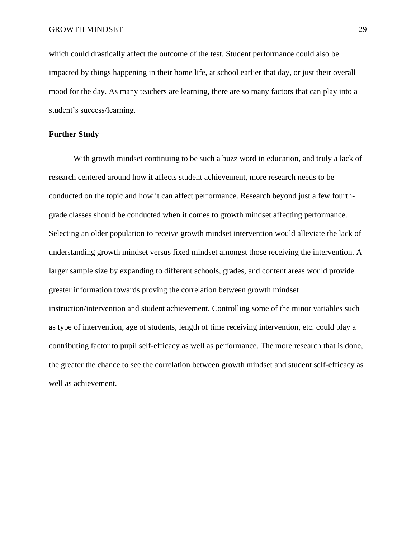which could drastically affect the outcome of the test. Student performance could also be impacted by things happening in their home life, at school earlier that day, or just their overall mood for the day. As many teachers are learning, there are so many factors that can play into a student's success/learning.

#### **Further Study**

With growth mindset continuing to be such a buzz word in education, and truly a lack of research centered around how it affects student achievement, more research needs to be conducted on the topic and how it can affect performance. Research beyond just a few fourthgrade classes should be conducted when it comes to growth mindset affecting performance. Selecting an older population to receive growth mindset intervention would alleviate the lack of understanding growth mindset versus fixed mindset amongst those receiving the intervention. A larger sample size by expanding to different schools, grades, and content areas would provide greater information towards proving the correlation between growth mindset instruction/intervention and student achievement. Controlling some of the minor variables such as type of intervention, age of students, length of time receiving intervention, etc. could play a contributing factor to pupil self-efficacy as well as performance. The more research that is done, the greater the chance to see the correlation between growth mindset and student self-efficacy as well as achievement.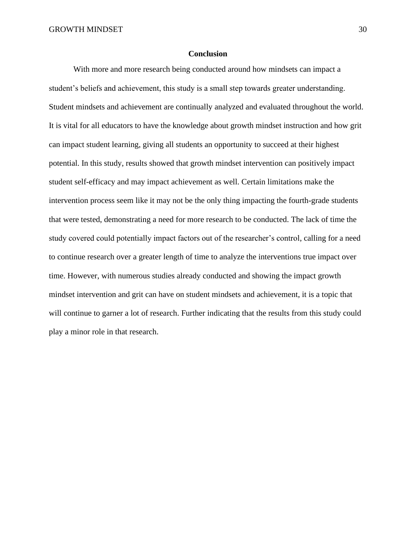#### **Conclusion**

With more and more research being conducted around how mindsets can impact a student's beliefs and achievement, this study is a small step towards greater understanding. Student mindsets and achievement are continually analyzed and evaluated throughout the world. It is vital for all educators to have the knowledge about growth mindset instruction and how grit can impact student learning, giving all students an opportunity to succeed at their highest potential. In this study, results showed that growth mindset intervention can positively impact student self-efficacy and may impact achievement as well. Certain limitations make the intervention process seem like it may not be the only thing impacting the fourth-grade students that were tested, demonstrating a need for more research to be conducted. The lack of time the study covered could potentially impact factors out of the researcher's control, calling for a need to continue research over a greater length of time to analyze the interventions true impact over time. However, with numerous studies already conducted and showing the impact growth mindset intervention and grit can have on student mindsets and achievement, it is a topic that will continue to garner a lot of research. Further indicating that the results from this study could play a minor role in that research.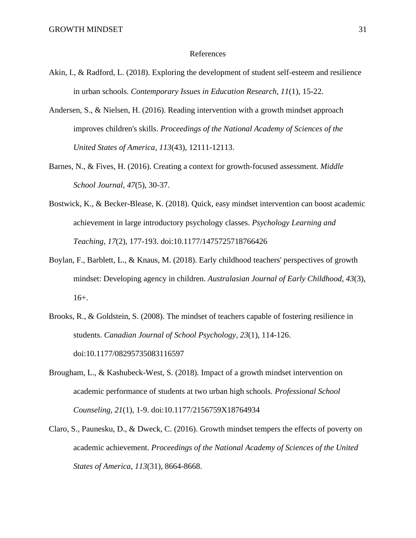#### References

- Akin, I., & Radford, L. (2018). Exploring the development of student self-esteem and resilience in urban schools. *Contemporary Issues in Education Research, 11*(1), 15-22.
- Andersen, S., & Nielsen, H. (2016). Reading intervention with a growth mindset approach improves children's skills. *Proceedings of the National Academy of Sciences of the United States of America, 113*(43), 12111-12113.
- Barnes, N., & Fives, H. (2016). Creating a context for growth-focused assessment. *Middle School Journal, 47*(5), 30-37.
- Bostwick, K., & Becker-Blease, K. (2018). Quick, easy mindset intervention can boost academic achievement in large introductory psychology classes. *Psychology Learning and Teaching, 17*(2), 177-193. doi:10.1177/1475725718766426
- Boylan, F., Barblett, L., & Knaus, M. (2018). Early childhood teachers' perspectives of growth mindset: Developing agency in children. *Australasian Journal of Early Childhood*, *43*(3), 16+.
- Brooks, R., & Goldstein, S. (2008). The mindset of teachers capable of fostering resilience in students. *Canadian Journal of School Psychology, 23*(1), 114-126. doi:10.1177/08295735083116597
- Brougham, L., & Kashubeck-West, S. (2018). Impact of a growth mindset intervention on academic performance of students at two urban high schools. *Professional School Counseling, 21*(1), 1-9. doi:10.1177/2156759X18764934
- Claro, S., Paunesku, D., & Dweck, C. (2016). Growth mindset tempers the effects of poverty on academic achievement. *Proceedings of the National Academy of Sciences of the United States of America, 113*(31), 8664-8668.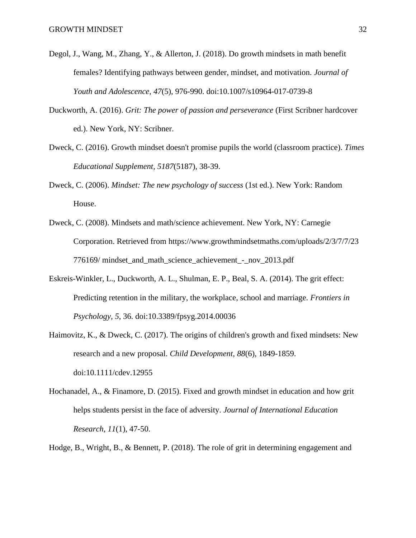- Degol, J., Wang, M., Zhang, Y., & Allerton, J. (2018). Do growth mindsets in math benefit females? Identifying pathways between gender, mindset, and motivation. *Journal of Youth and Adolescence, 47*(5), 976-990. doi:10.1007/s10964-017-0739-8
- Duckworth, A. (2016). *Grit: The power of passion and perseverance* (First Scribner hardcover ed.). New York, NY: Scribner.
- Dweck, C. (2016). Growth mindset doesn't promise pupils the world (classroom practice). *Times Educational Supplement, 5187*(5187), 38-39.
- Dweck, C. (2006). *Mindset: The new psychology of success* (1st ed.). New York: Random House.
- Dweck, C. (2008). Mindsets and math/science achievement. New York, NY: Carnegie Corporation. Retrieved from [https://www.growthmindsetmaths.com/uploads/2/3/7/7/23](https://www.growthmindsetmaths.com/uploads/2/3/7/7/23%20776169/%20mindset_and_math_science_achievement_-_nov_2013.pdf)  [776169/ mindset\\_and\\_math\\_science\\_achievement\\_-\\_nov\\_2013.pdf](https://www.growthmindsetmaths.com/uploads/2/3/7/7/23%20776169/%20mindset_and_math_science_achievement_-_nov_2013.pdf)
- Eskreis-Winkler, L., Duckworth, A. L., Shulman, E. P., Beal, S. A. (2014). The grit effect: Predicting retention in the military, the workplace, school and marriage. *Frontiers in Psychology, 5*, 36. doi[:10.3389/fpsyg.2014.00036](https://doi-org.ezproxy.nwciowa.edu/10.3389/fpsyg.2014.00036)
- Haimovitz, K., & Dweck, C. (2017). The origins of children's growth and fixed mindsets: New research and a new proposal. *Child Development, 88*(6), 1849-1859. doi:10.1111/cdev.12955
- Hochanadel, A., & Finamore, D. (2015). Fixed and growth mindset in education and how grit helps students persist in the face of adversity. *Journal of International Education Research, 11*(1), 47-50.
- Hodge, B., Wright, B., & Bennett, P. (2018). The role of grit in determining engagement and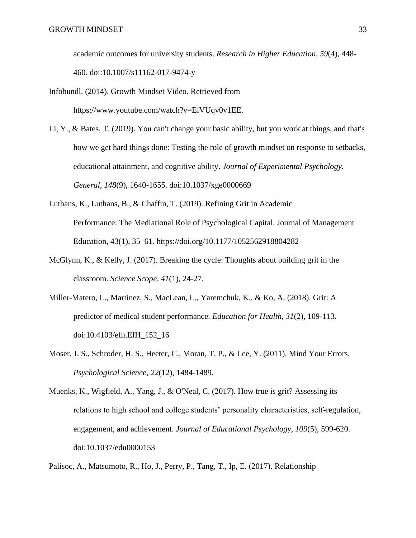academic outcomes for university students. *Research in Higher Education, 59*(4), 448- 460. doi:10.1007/s11162-017-9474-y

- Infobundl. (2014). Growth Mindset Video. Retrieved from https://www.youtube.com/watch?v=ElVUqv0v1EE.
- Li, Y., & Bates, T. (2019). You can't change your basic ability, but you work at things, and that's how we get hard things done: Testing the role of growth mindset on response to setbacks, educational attainment, and cognitive ability. *Journal of Experimental Psychology. General, 148*(9), 1640-1655. doi:10.1037/xge0000669
- Luthans, K., Luthans, B., & Chaffin, T. (2019). Refining Grit in Academic Performance: The Mediational Role of Psychological Capital. Journal of Management Education, 43(1), 35–61.<https://doi.org/10.1177/1052562918804282>
- McGlynn, K., & Kelly, J. (2017). Breaking the cycle: Thoughts about building grit in the classroom. *Science Scope, 41*(1), 24-27.
- Miller-Matero, L., Martinez, S., MacLean, L., Yaremchuk, K., & Ko, A. (2018). Grit: A predictor of medical student performance. *Education for Health, 31*(2), 109-113. doi:10.4103/efh.EfH\_152\_16
- Moser, J. S., Schroder, H. S., Heeter, C., Moran, T. P., & Lee, Y. (2011). Mind Your Errors. *Psychological Science, 22*(12), 1484-1489.
- Muenks, K., Wigfield, A., Yang, J., & O'Neal, C. (2017). How true is grit? Assessing its relations to high school and college students' personality characteristics, self-regulation, engagement, and achievement. *Journal of Educational Psychology, 109*(5), 599-620. doi:10.1037/edu0000153

Palisoc, A., Matsumoto, R., Ho, J., Perry, P., Tang, T., Ip, E. (2017). Relationship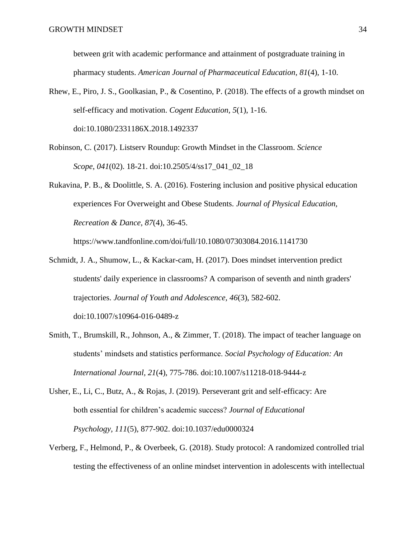between grit with academic performance and attainment of postgraduate training in pharmacy students. *American Journal of Pharmaceutical Education, 81*(4), 1-10.

- Rhew, E., Piro, J. S., Goolkasian, P., & Cosentino, P. (2018). The effects of a growth mindset on self-efficacy and motivation. *Cogent Education, 5*(1), 1-16. doi:10.1080/2331186X.2018.1492337
- Robinson, C. (2017). Listserv Roundup: Growth Mindset in the Classroom. *Science Scope*, *041*(02). 18-21. doi:10.2505/4/ss17\_041\_02\_18
- Rukavina, P. B., & Doolittle, S. A. (2016). Fostering inclusion and positive physical education experiences For Overweight and Obese Students. *Journal of Physical Education, Recreation & Dance, 87*(4), 36-45.

<https://www.tandfonline.com/doi/full/10.1080/07303084.2016.1141730>

- Schmidt, J. A., Shumow, L., & Kackar-cam, H. (2017). Does mindset intervention predict students' daily experience in classrooms? A comparison of seventh and ninth graders' trajectories. *Journal of Youth and Adolescence, 46*(3), 582-602. doi:10.1007/s10964-016-0489-z
- Smith, T., Brumskill, R., Johnson, A., & Zimmer, T. (2018). The impact of teacher language on students' mindsets and statistics performance. *Social Psychology of Education: An International Journal, 21*(4), 775-786. doi:10.1007/s11218-018-9444-z
- Usher, E., Li, C., Butz, A., & Rojas, J. (2019). Perseverant grit and self-efficacy: Are both essential for children's academic success? *Journal of Educational Psychology, 111*(5), 877-902. doi:10.1037/edu0000324
- Verberg, F., Helmond, P., & Overbeek, G. (2018). Study protocol: A randomized controlled trial testing the effectiveness of an online mindset intervention in adolescents with intellectual